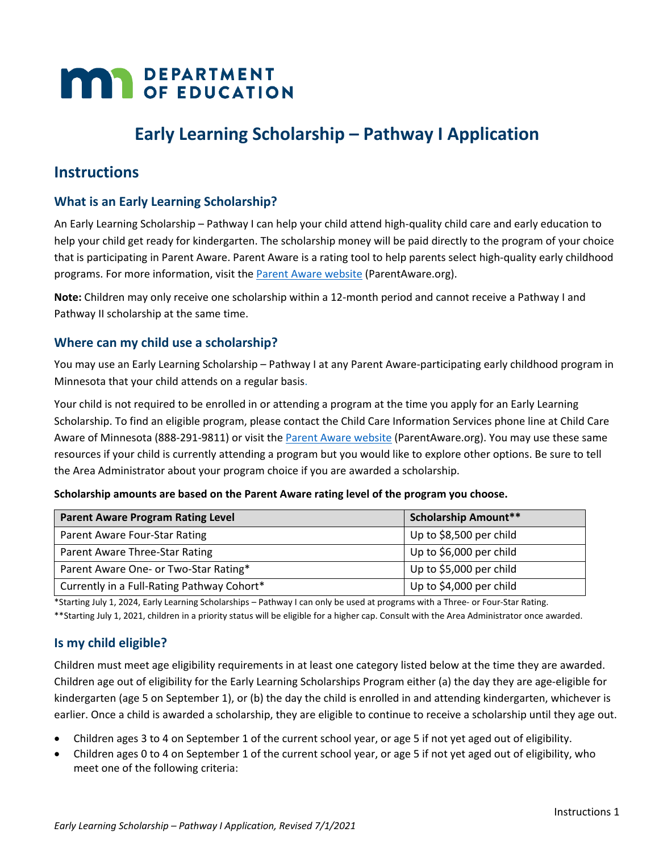# **MAR** DEPARTMENT

## **Early Learning Scholarship – Pathway I Application**

### **Instructions**

#### **What is an Early Learning Scholarship?**

An Early Learning Scholarship – Pathway I can help your child attend high-quality child care and early education to help your child get ready for kindergarten. The scholarship money will be paid directly to the program of your choice that is participating in Parent Aware. Parent Aware is a rating tool to help parents select high-quality early childhood programs. For more information, visit the [Parent Aware website](http://www.parentaware.org/) [\(ParentAware.org\)](http://www.parentaware.org/).

**Note:** Children may only receive one scholarship within a 12-month period and cannot receive a Pathway I and Pathway II scholarship at the same time.

#### **Where can my child use a scholarship?**

You may use an Early Learning Scholarship – Pathway I at any Parent Aware-participating early childhood program in Minnesota that your child attends on a regular basis.

Your child is not required to be enrolled in or attending a program at the time you apply for an Early Learning Scholarship. To find an eligible program, please contact the Child Care Information Services phone line at Child Care Aware of Minnesota (888-291-9811) or visit th[e Parent Aware website](http://www.parentaware.org/) (ParentAware.org). You may use these same resources if your child is currently attending a program but you would like to explore other options. Be sure to tell the Area Administrator about your program choice if you are awarded a scholarship.

**Scholarship amounts are based on the Parent Aware rating level of the program you choose.**

| <b>Parent Aware Program Rating Level</b>   | <b>Scholarship Amount**</b> |
|--------------------------------------------|-----------------------------|
| Parent Aware Four-Star Rating              | Up to \$8,500 per child     |
| Parent Aware Three-Star Rating             | Up to \$6,000 per child     |
| Parent Aware One- or Two-Star Rating*      | Up to \$5,000 per child     |
| Currently in a Full-Rating Pathway Cohort* | Up to \$4,000 per child     |

\*Starting July 1, 2024, Early Learning Scholarships – Pathway I can only be used at programs with a Three- or Four-Star Rating.

\*\*Starting July 1, 2021, children in a priority status will be eligible for a higher cap. Consult with the Area Administrator once awarded.

#### **Is my child eligible?**

Children must meet age eligibility requirements in at least one category listed below at the time they are awarded. Children age out of eligibility for the Early Learning Scholarships Program either (a) the day they are age-eligible for kindergarten (age 5 on September 1), or (b) the day the child is enrolled in and attending kindergarten, whichever is earlier. Once a child is awarded a scholarship, they are eligible to continue to receive a scholarship until they age out.

- Children ages 3 to 4 on September 1 of the current school year, or age 5 if not yet aged out of eligibility.
- Children ages 0 to 4 on September 1 of the current school year, or age 5 if not yet aged out of eligibility, who meet one of the following criteria: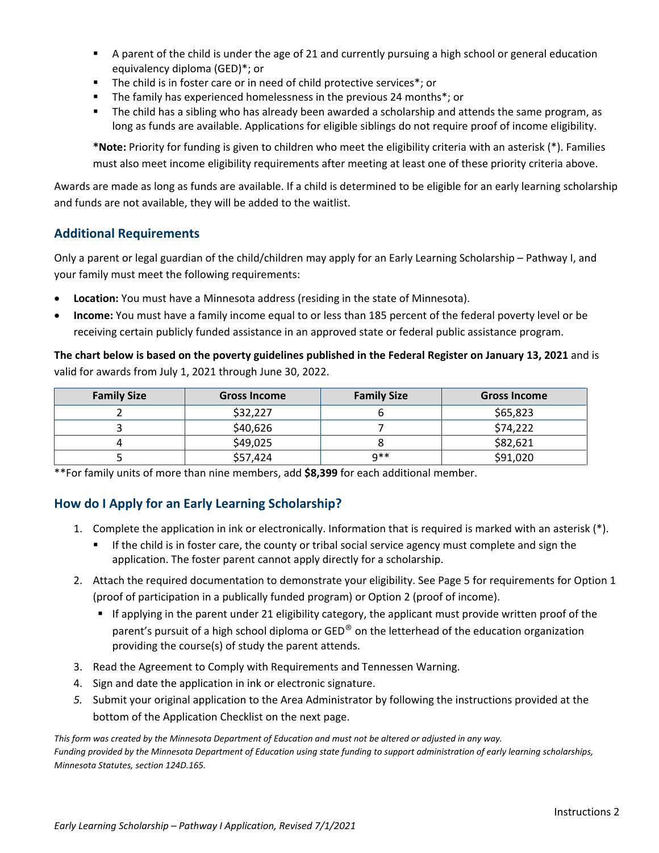- A parent of the child is under the age of 21 and currently pursuing a high school or general education equivalency diploma (GED)\*; or
- The child is in foster care or in need of child protective services\*; or
- The family has experienced homelessness in the previous 24 months\*; or
- The child has a sibling who has already been awarded a scholarship and attends the same program, as long as funds are available. Applications for eligible siblings do not require proof of income eligibility.

**\*Note:** Priority for funding is given to children who meet the eligibility criteria with an asterisk (\*). Families must also meet income eligibility requirements after meeting at least one of these priority criteria above.

Awards are made as long as funds are available. If a child is determined to be eligible for an early learning scholarship and funds are not available, they will be added to the waitlist.

#### **Additional Requirements**

Only a parent or legal guardian of the child/children may apply for an Early Learning Scholarship – Pathway I, and your family must meet the following requirements:

- **Location:** You must have a Minnesota address (residing in the state of Minnesota).
- **Income:** You must have a family income equal to or less than 185 percent of the federal poverty level or be receiving certain publicly funded assistance in an approved state or federal public assistance program.

**The chart below is based on the poverty guidelines published in the Federal Register on January 13, 2021** and is valid for awards from July 1, 2021 through June 30, 2022.

| <b>Family Size</b> | <b>Gross Income</b> | <b>Family Size</b> | <b>Gross Income</b> |
|--------------------|---------------------|--------------------|---------------------|
|                    | \$32,227            |                    | \$65,823            |
|                    | \$40,626            |                    | \$74,222            |
|                    | \$49,025            |                    | \$82,621            |
|                    | \$57,424            | 0**                | \$91,020            |

\*\*For family units of more than nine members, add **\$8,399** for each additional member.

#### **How do I Apply for an Early Learning Scholarship?**

- 1. Complete the application in ink or electronically. Information that is required is marked with an asterisk (\*).
	- If the child is in foster care, the county or tribal social service agency must complete and sign the application. The foster parent cannot apply directly for a scholarship.
- 2. Attach the required documentation to demonstrate your eligibility. See Page 5 for requirements for Option 1 (proof of participation in a publically funded program) or Option 2 (proof of income).
	- If applying in the parent under 21 eligibility category, the applicant must provide written proof of the parent's pursuit of a high school diploma or GED<sup>®</sup> on the letterhead of the education organization providing the course(s) of study the parent attends.
- 3. Read the Agreement to Comply with Requirements and Tennessen Warning.
- 4. Sign and date the application in ink or electronic signature.
- *5.* Submit your original application to the Area Administrator by following the instructions provided at the bottom of the Application Checklist on the next page.

*This form was created by the Minnesota Department of Education and must not be altered or adjusted in any way. Funding provided by the Minnesota Department of Education using state funding to support administration of early learning scholarships, Minnesota Statutes, section 124D.165.*